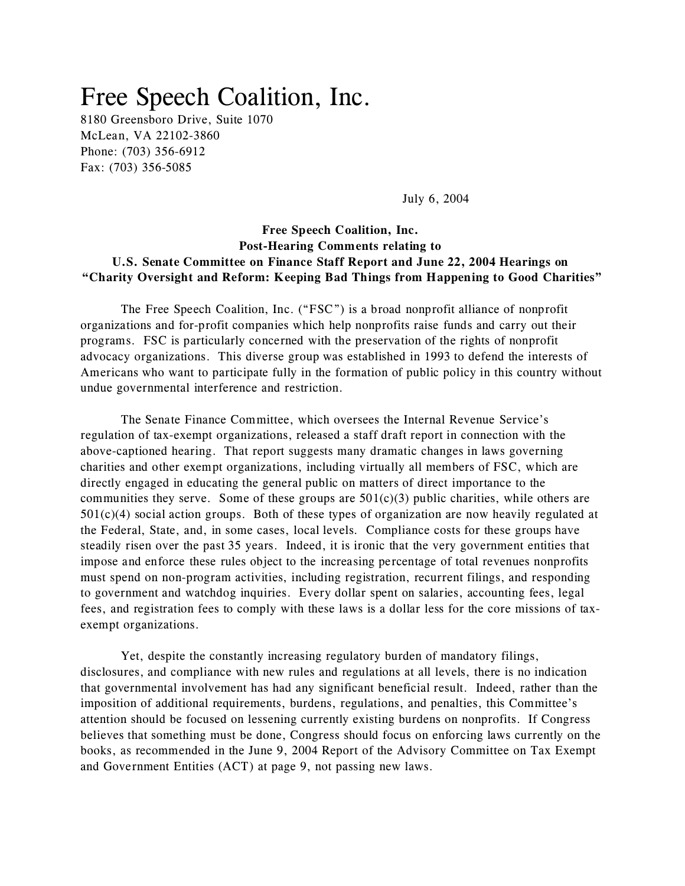# Free Speech Coalition, Inc.

8180 Greensboro Drive, Suite 1070 McLean, VA 22102-3860 Phone: (703) 356-6912 Fax: (703) 356-5085

July 6, 2004

## **Free Speech Coalition, Inc. Post-Hearing Comments relating to U.S. Senate Committee on Finance Staff Report and June 22, 2004 Hearings on "Charity Oversight and Reform: Keeping Bad Things from Happening to Good Charities"**

The Free Speech Coalition, Inc. ("FSC") is a broad nonprofit alliance of nonprofit organizations and for-profit companies which help nonprofits raise funds and carry out their programs. FSC is particularly concerned with the preservation of the rights of nonprofit advocacy organizations. This diverse group was established in 1993 to defend the interests of Americans who want to participate fully in the formation of public policy in this country without undue governmental interference and restriction.

The Senate Finance Committee, which oversees the Internal Revenue Service's regulation of tax-exempt organizations, released a staff draft report in connection with the above-captioned hearing. That report suggests many dramatic changes in laws governing charities and other exempt organizations, including virtually all members of FSC, which are directly engaged in educating the general public on matters of direct importance to the communities they serve. Some of these groups are  $501(c)(3)$  public charities, while others are  $501(c)(4)$  social action groups. Both of these types of organization are now heavily regulated at the Federal, State, and, in some cases, local levels. Compliance costs for these groups have steadily risen over the past 35 years. Indeed, it is ironic that the very government entities that impose and enforce these rules object to the increasing percentage of total revenues nonprofits must spend on non-program activities, including registration, recurrent filings, and responding to government and watchdog inquiries. Every dollar spent on salaries, accounting fees, legal fees, and registration fees to comply with these laws is a dollar less for the core missions of taxexempt organizations.

Yet, despite the constantly increasing regulatory burden of mandatory filings, disclosures, and compliance with new rules and regulations at all levels, there is no indication that governmental involvement has had any significant beneficial result. Indeed, rather than the imposition of additional requirements, burdens, regulations, and penalties, this Committee's attention should be focused on lessening currently existing burdens on nonprofits. If Congress believes that something must be done, Congress should focus on enforcing laws currently on the books, as recommended in the June 9, 2004 Report of the Advisory Committee on Tax Exempt and Government Entities (ACT) at page 9, not passing new laws.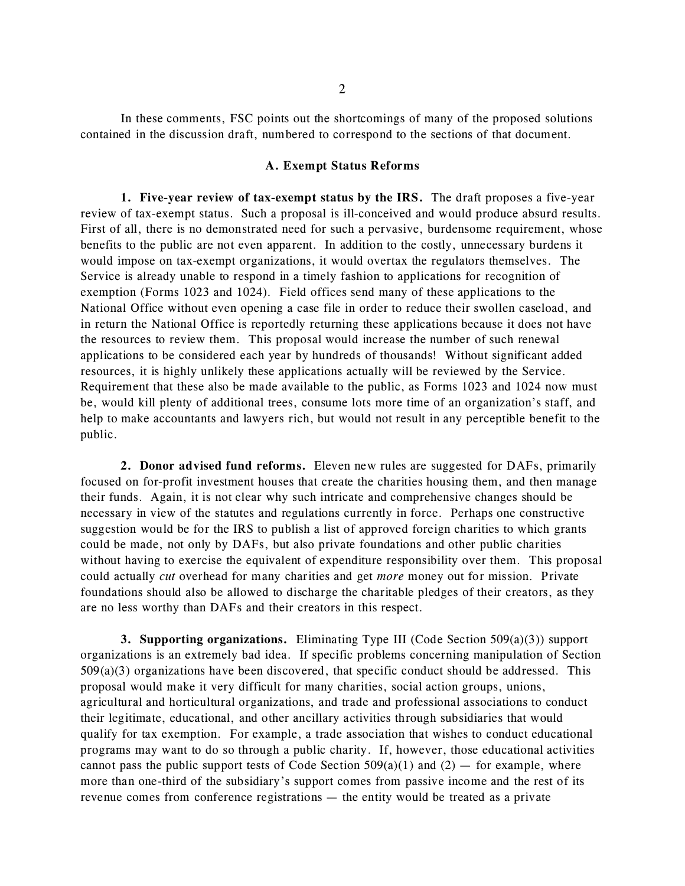In these comments, FSC points out the shortcomings of many of the proposed solutions contained in the discussion draft, numbered to correspond to the sections of that document.

## **A. Exempt Status Reforms**

**1. Five-year review of tax-exempt status by the IRS.** The draft proposes a five-year review of tax-exempt status. Such a proposal is ill-conceived and would produce absurd results. First of all, there is no demonstrated need for such a pervasive, burdensome requirement, whose benefits to the public are not even apparent. In addition to the costly, unnecessary burdens it would impose on tax-exempt organizations, it would overtax the regulators themselves. The Service is already unable to respond in a timely fashion to applications for recognition of exemption (Forms 1023 and 1024). Field offices send many of these applications to the National Office without even opening a case file in order to reduce their swollen caseload, and in return the National Office is reportedly returning these applications because it does not have the resources to review them. This proposal would increase the number of such renewal applications to be considered each year by hundreds of thousands! Without significant added resources, it is highly unlikely these applications actually will be reviewed by the Service. Requirement that these also be made available to the public, as Forms 1023 and 1024 now must be, would kill plenty of additional trees, consume lots more time of an organization's staff, and help to make accountants and lawyers rich, but would not result in any perceptible benefit to the public.

**2. Donor advised fund reforms.** Eleven new rules are suggested for DAFs, primarily focused on for-profit investment houses that create the charities housing them, and then manage their funds. Again, it is not clear why such intricate and comprehensive changes should be necessary in view of the statutes and regulations currently in force. Perhaps one constructive suggestion would be for the IRS to publish a list of approved foreign charities to which grants could be made, not only by DAFs, but also private foundations and other public charities without having to exercise the equivalent of expenditure responsibility over them. This proposal could actually *cut* overhead for many charities and get *more* money out for mission. Private foundations should also be allowed to discharge the charitable pledges of their creators, as they are no less worthy than DAFs and their creators in this respect.

**3. Supporting organizations.** Eliminating Type III (Code Section 509(a)(3)) support organizations is an extremely bad idea. If specific problems concerning manipulation of Section  $509(a)(3)$  organizations have been discovered, that specific conduct should be addressed. This proposal would make it very difficult for many charities, social action groups, unions, agricultural and horticultural organizations, and trade and professional associations to conduct their legitimate, educational, and other ancillary activities through subsidiaries that would qualify for tax exemption. For example, a trade association that wishes to conduct educational programs may want to do so through a public charity. If, however, those educational activities cannot pass the public support tests of Code Section  $509(a)(1)$  and  $(2)$  — for example, where more than one-third of the subsidiary's support comes from passive income and the rest of its revenue comes from conference registrations — the entity would be treated as a private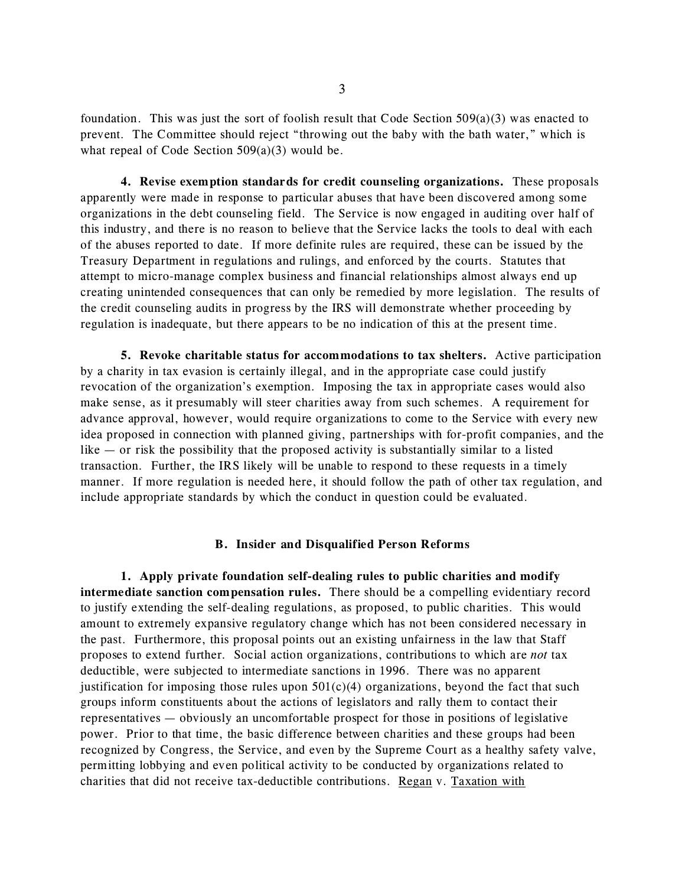foundation. This was just the sort of foolish result that Code Section  $509(a)(3)$  was enacted to prevent. The Committee should reject "throwing out the baby with the bath water," which is what repeal of Code Section  $509(a)(3)$  would be.

**4. Revise exemption standards for credit counseling organizations.** These proposals apparently were made in response to particular abuses that have been discovered among some organizations in the debt counseling field. The Service is now engaged in auditing over half of this industry, and there is no reason to believe that the Service lacks the tools to deal with each of the abuses reported to date. If more definite rules are required, these can be issued by the Treasury Department in regulations and rulings, and enforced by the courts. Statutes that attempt to micro-manage complex business and financial relationships almost always end up creating unintended consequences that can only be remedied by more legislation. The results of the credit counseling audits in progress by the IRS will demonstrate whether proceeding by regulation is inadequate, but there appears to be no indication of this at the present time.

**5. Revoke charitable status for accommodations to tax shelters.** Active participation by a charity in tax evasion is certainly illegal, and in the appropriate case could justify revocation of the organization's exemption. Imposing the tax in appropriate cases would also make sense, as it presumably will steer charities away from such schemes. A requirement for advance approval, however, would require organizations to come to the Service with every new idea proposed in connection with planned giving, partnerships with for-profit companies, and the like  $-$  or risk the possibility that the proposed activity is substantially similar to a listed transaction. Further, the IRS likely will be unable to respond to these requests in a timely manner. If more regulation is needed here, it should follow the path of other tax regulation, and include appropriate standards by which the conduct in question could be evaluated.

#### **B. Insider and Disqualified Person Reforms**

**1. Apply private foundation self-dealing rules to public charities and modify intermediate sanction compensation rules.** There should be a compelling evidentiary record to justify extending the self-dealing regulations, as proposed, to public charities. This would amount to extremely expansive regulatory change which has not been considered necessary in the past. Furthermore, this proposal points out an existing unfairness in the law that Staff proposes to extend further. Social action organizations, contributions to which are *not* tax deductible, were subjected to intermediate sanctions in 1996. There was no apparent justification for imposing those rules upon  $501(c)(4)$  organizations, beyond the fact that such groups inform constituents about the actions of legislators and rally them to contact their representatives — obviously an uncomfortable prospect for those in positions of legislative power. Prior to that time, the basic difference between charities and these groups had been recognized by Congress, the Service, and even by the Supreme Court as a healthy safety valve, permitting lobbying and even political activity to be conducted by organizations related to charities that did not receive tax-deductible contributions. Regan v. Taxation with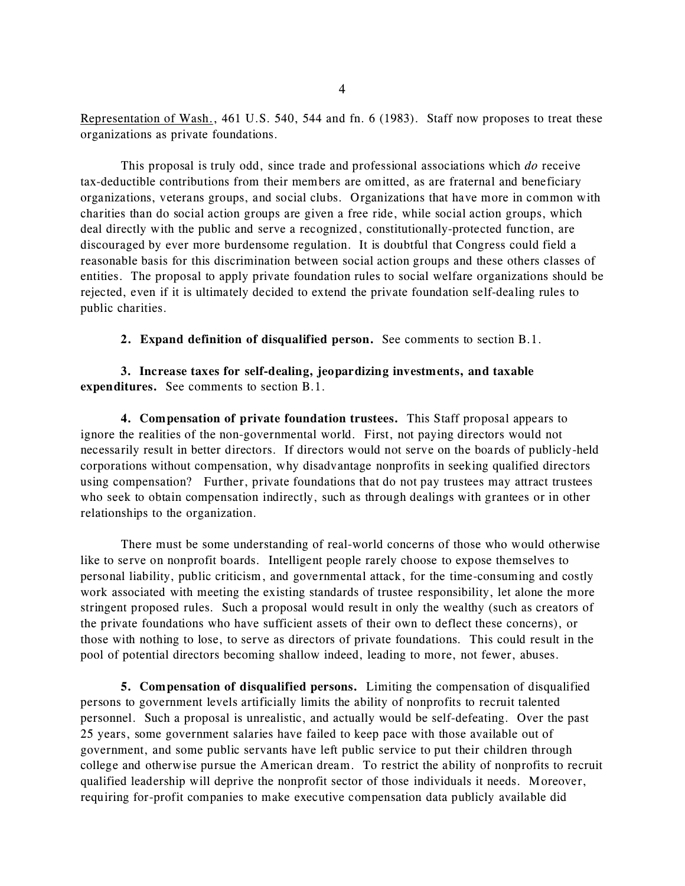Representation of Wash., 461 U.S. 540, 544 and fn. 6 (1983). Staff now proposes to treat these organizations as private foundations.

This proposal is truly odd, since trade and professional associations which *do* receive tax-deductible contributions from their members are omitted, as are fraternal and beneficiary organizations, veterans groups, and social clubs. Organizations that have more in common with charities than do social action groups are given a free ride, while social action groups, which deal directly with the public and serve a recognized, constitutionally-protected function, are discouraged by ever more burdensome regulation. It is doubtful that Congress could field a reasonable basis for this discrimination between social action groups and these others classes of entities. The proposal to apply private foundation rules to social welfare organizations should be rejected, even if it is ultimately decided to extend the private foundation self-dealing rules to public charities.

**2. Expand definition of disqualified person.** See comments to section B.1.

**3. Increase taxes for self-dealing, jeopardizing investments, and taxable expenditures.** See comments to section B.1.

**4. Compensation of private foundation trustees.** This Staff proposal appears to ignore the realities of the non-governmental world. First, not paying directors would not necessarily result in better directors. If directors would not serve on the boards of publicly-held corporations without compensation, why disadvantage nonprofits in seeking qualified directors using compensation? Further, private foundations that do not pay trustees may attract trustees who seek to obtain compensation indirectly, such as through dealings with grantees or in other relationships to the organization.

There must be some understanding of real-world concerns of those who would otherwise like to serve on nonprofit boards. Intelligent people rarely choose to expose themselves to personal liability, public criticism, and governmental attack, for the time-consuming and costly work associated with meeting the existing standards of trustee responsibility, let alone the more stringent proposed rules. Such a proposal would result in only the wealthy (such as creators of the private foundations who have sufficient assets of their own to deflect these concerns), or those with nothing to lose, to serve as directors of private foundations. This could result in the pool of potential directors becoming shallow indeed, leading to more, not fewer, abuses.

**5. Compensation of disqualified persons.** Limiting the compensation of disqualified persons to government levels artificially limits the ability of nonprofits to recruit talented personnel. Such a proposal is unrealistic, and actually would be self-defeating. Over the past 25 years, some government salaries have failed to keep pace with those available out of government, and some public servants have left public service to put their children through college and otherwise pursue the American dream. To restrict the ability of nonprofits to recruit qualified leadership will deprive the nonprofit sector of those individuals it needs. Moreover, requiring for-profit companies to make executive compensation data publicly available did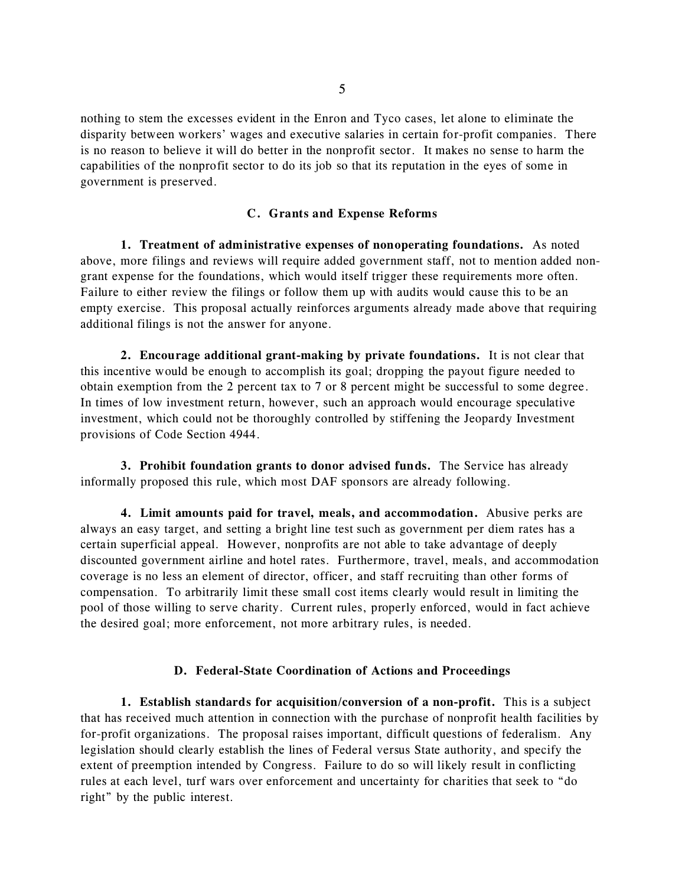nothing to stem the excesses evident in the Enron and Tyco cases, let alone to eliminate the disparity between workers' wages and executive salaries in certain for-profit companies. There is no reason to believe it will do better in the nonprofit sector. It makes no sense to harm the capabilities of the nonprofit sector to do its job so that its reputation in the eyes of some in government is preserved.

## **C. Grants and Expense Reforms**

**1. Treatment of administrative expenses of nonoperating foundations.** As noted above, more filings and reviews will require added government staff, not to mention added nongrant expense for the foundations, which would itself trigger these requirements more often. Failure to either review the filings or follow them up with audits would cause this to be an empty exercise. This proposal actually reinforces arguments already made above that requiring additional filings is not the answer for anyone.

**2. Encourage additional grant-making by private foundations.** It is not clear that this incentive would be enough to accomplish its goal; dropping the payout figure needed to obtain exemption from the 2 percent tax to 7 or 8 percent might be successful to some degree. In times of low investment return, however, such an approach would encourage speculative investment, which could not be thoroughly controlled by stiffening the Jeopardy Investment provisions of Code Section 4944.

**3. Prohibit foundation grants to donor advised funds.** The Service has already informally proposed this rule, which most DAF sponsors are already following.

**4. Limit amounts paid for travel, meals, and accommodation.** Abusive perks are always an easy target, and setting a bright line test such as government per diem rates has a certain superficial appeal. However, nonprofits are not able to take advantage of deeply discounted government airline and hotel rates. Furthermore, travel, meals, and accommodation coverage is no less an element of director, officer, and staff recruiting than other forms of compensation. To arbitrarily limit these small cost items clearly would result in limiting the pool of those willing to serve charity. Current rules, properly enforced, would in fact achieve the desired goal; more enforcement, not more arbitrary rules, is needed.

#### **D. Federal-State Coordination of Actions and Proceedings**

**1. Establish standards for acquisition/conversion of a non-profit.** This is a subject that has received much attention in connection with the purchase of nonprofit health facilities by for-profit organizations. The proposal raises important, difficult questions of federalism. Any legislation should clearly establish the lines of Federal versus State authority, and specify the extent of preemption intended by Congress. Failure to do so will likely result in conflicting rules at each level, turf wars over enforcement and uncertainty for charities that seek to "do right" by the public interest.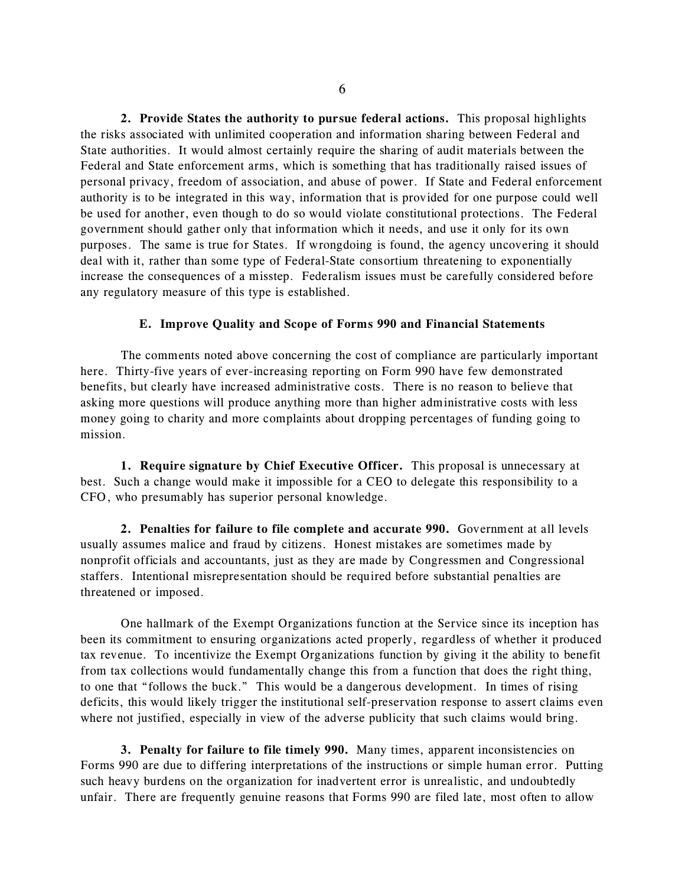**2. Provide States the authority to pursue federal actions.** This proposal highlights the risks associated with unlimited cooperation and information sharing between Federal and State authorities. It would almost certainly require the sharing of audit materials between the Federal and State enforcement arms, which is something that has traditionally raised issues of personal privacy, freedom of association, and abuse of power. If State and Federal enforcement authority is to be integrated in this way, information that is provided for one purpose could well be used for another, even though to do so would violate constitutional protections. The Federal government should gather only that information which it needs, and use it only for its own purposes. The same is true for States. If wrongdoing is found, the agency uncovering it should deal with it, rather than some type of Federal-State consortium threatening to exponentially increase the consequences of a misstep. Federalism issues must be carefully considered before any regulatory measure of this type is established.

## **E. Improve Quality and Scope of Forms 990 and Financial Statements**

The comments noted above concerning the cost of compliance are particularly important here. Thirty-five years of ever-increasing reporting on Form 990 have few demonstrated benefits, but clearly have increased administrative costs. There is no reason to believe that asking more questions will produce anything more than higher administrative costs with less money going to charity and more complaints about dropping percentages of funding going to mission.

**1. Require signature by Chief Executive Officer.** This proposal is unnecessary at best. Such a change would make it impossible for a CEO to delegate this responsibility to a CFO, who presumably has superior personal knowledge.

**2. Penalties for failure to file complete and accurate 990.** Government at all levels usually assumes malice and fraud by citizens. Honest mistakes are sometimes made by nonprofit officials and accountants, just as they are made by Congressmen and Congressional staffers. Intentional misrepresentation should be required before substantial penalties are threatened or imposed.

One hallmark of the Exempt Organizations function at the Service since its inception has been its commitment to ensuring organizations acted properly, regardless of whether it produced tax revenue. To incentivize the Exempt Organizations function by giving it the ability to benefit from tax collections would fundamentally change this from a function that does the right thing, to one that "follows the buck." This would be a dangerous development. In times of rising deficits, this would likely trigger the institutional self-preservation response to assert claims even where not justified, especially in view of the adverse publicity that such claims would bring.

**3. Penalty for failure to file timely 990.** Many times, apparent inconsistencies on Forms 990 are due to differing interpretations of the instructions or simple human error. Putting such heavy burdens on the organization for inadvertent error is unrealistic, and undoubtedly unfair. There are frequently genuine reasons that Forms 990 are filed late, most often to allow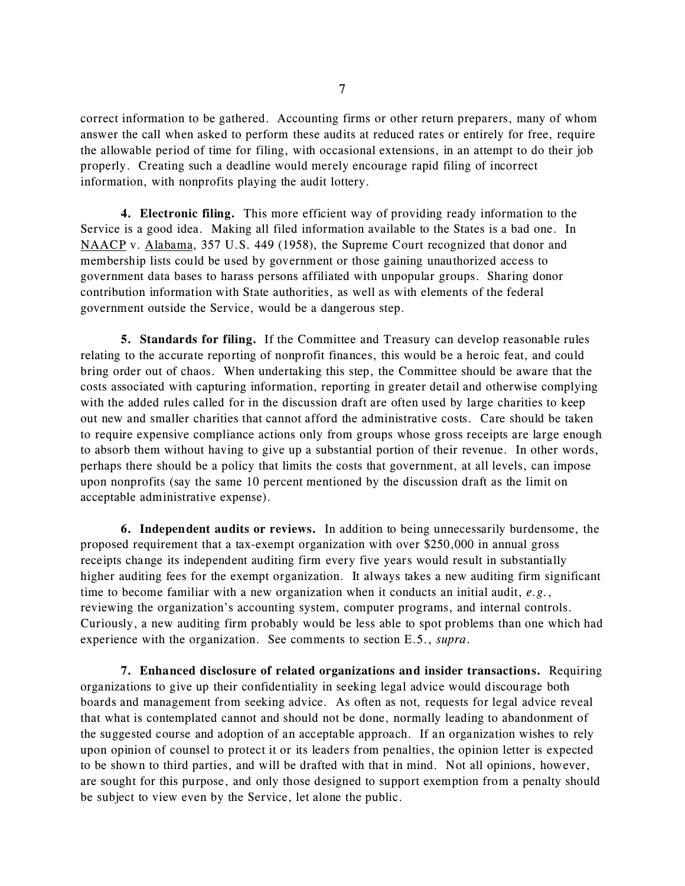correct information to be gathered. Accounting firms or other return preparers, many of whom answer the call when asked to perform these audits at reduced rates or entirely for free, require the allowable period of time for filing, with occasional extensions, in an attempt to do their job properly. Creating such a deadline would merely encourage rapid filing of incorrect information, with nonprofits playing the audit lottery.

**4. Electronic filing.** This more efficient way of providing ready information to the Service is a good idea. Making all filed information available to the States is a bad one. In NAACP v. Alabama, 357 U.S. 449 (1958), the Supreme Court recognized that donor and membership lists could be used by government or those gaining unauthorized access to government data bases to harass persons affiliated with unpopular groups. Sharing donor contribution information with State authorities, as well as with elements of the federal government outside the Service, would be a dangerous step.

**5. Standards for filing.** If the Committee and Treasury can develop reasonable rules relating to the accurate reporting of nonprofit finances, this would be a heroic feat, and could bring order out of chaos. When undertaking this step, the Committee should be aware that the costs associated with capturing information, reporting in greater detail and otherwise complying with the added rules called for in the discussion draft are often used by large charities to keep out new and smaller charities that cannot afford the administrative costs. Care should be taken to require expensive compliance actions only from groups whose gross receipts are large enough to absorb them without having to give up a substantial portion of their revenue. In other words, perhaps there should be a policy that limits the costs that government, at all levels, can impose upon nonprofits (say the same 10 percent mentioned by the discussion draft as the limit on acceptable administrative expense).

**6. Independent audits or reviews.** In addition to being unnecessarily burdensome, the proposed requirement that a tax-exempt organization with over \$250,000 in annual gross receipts change its independent auditing firm every five years would result in substantially higher auditing fees for the exempt organization. It always takes a new auditing firm significant time to become familiar with a new organization when it conducts an initial audit, *e.g.*, reviewing the organization's accounting system, computer programs, and internal controls. Curiously, a new auditing firm probably would be less able to spot problems than one which had experience with the organization. See comments to section E.5., *supra*.

**7. Enhanced disclosure of related organizations and insider transactions.** Requiring organizations to give up their confidentiality in seeking legal advice would discourage both boards and management from seeking advice. As often as not, requests for legal advice reveal that what is contemplated cannot and should not be done, normally leading to abandonment of the suggested course and adoption of an acceptable approach. If an organization wishes to rely upon opinion of counsel to protect it or its leaders from penalties, the opinion letter is expected to be shown to third parties, and will be drafted with that in mind. Not all opinions, however, are sought for this purpose, and only those designed to support exemption from a penalty should be subject to view even by the Service, let alone the public.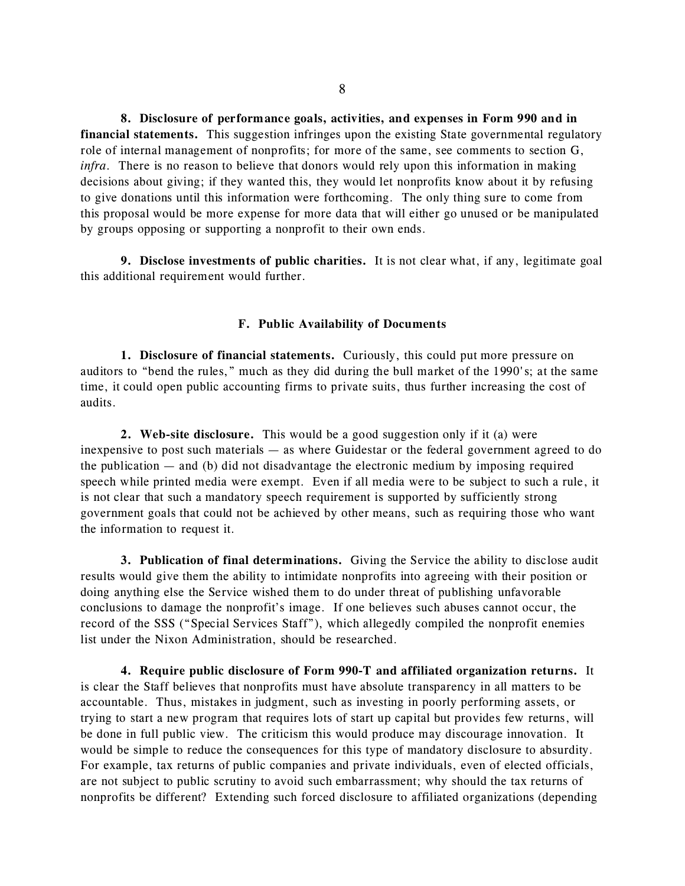**8. Disclosure of performance goals, activities, and expenses in Form 990 and in financial statements.** This suggestion infringes upon the existing State governmental regulatory role of internal management of nonprofits; for more of the same, see comments to section G, *infra*. There is no reason to believe that donors would rely upon this information in making decisions about giving; if they wanted this, they would let nonprofits know about it by refusing to give donations until this information were forthcoming. The only thing sure to come from this proposal would be more expense for more data that will either go unused or be manipulated by groups opposing or supporting a nonprofit to their own ends.

**9. Disclose investments of public charities.** It is not clear what, if any, legitimate goal this additional requirement would further.

#### **F. Public Availability of Documents**

**1. Disclosure of financial statements.** Curiously, this could put more pressure on auditors to "bend the rules," much as they did during the bull market of the 1990's; at the same time, it could open public accounting firms to private suits, thus further increasing the cost of audits.

**2. Web-site disclosure.** This would be a good suggestion only if it (a) were inexpensive to post such materials — as where Guidestar or the federal government agreed to do the publication  $-$  and (b) did not disadvantage the electronic medium by imposing required speech while printed media were exempt. Even if all media were to be subject to such a rule, it is not clear that such a mandatory speech requirement is supported by sufficiently strong government goals that could not be achieved by other means, such as requiring those who want the information to request it.

**3. Publication of final determinations.** Giving the Service the ability to disclose audit results would give them the ability to intimidate nonprofits into agreeing with their position or doing anything else the Service wished them to do under threat of publishing unfavorable conclusions to damage the nonprofit's image. If one believes such abuses cannot occur, the record of the SSS ("Special Services Staff"), which allegedly compiled the nonprofit enemies list under the Nixon Administration, should be researched.

**4. Require public disclosure of Form 990-T and affiliated organization returns.** It is clear the Staff believes that nonprofits must have absolute transparency in all matters to be accountable. Thus, mistakes in judgment, such as investing in poorly performing assets, or trying to start a new program that requires lots of start up capital but provides few returns, will be done in full public view. The criticism this would produce may discourage innovation. It would be simple to reduce the consequences for this type of mandatory disclosure to absurdity. For example, tax returns of public companies and private individuals, even of elected officials, are not subject to public scrutiny to avoid such embarrassment; why should the tax returns of nonprofits be different? Extending such forced disclosure to affiliated organizations (depending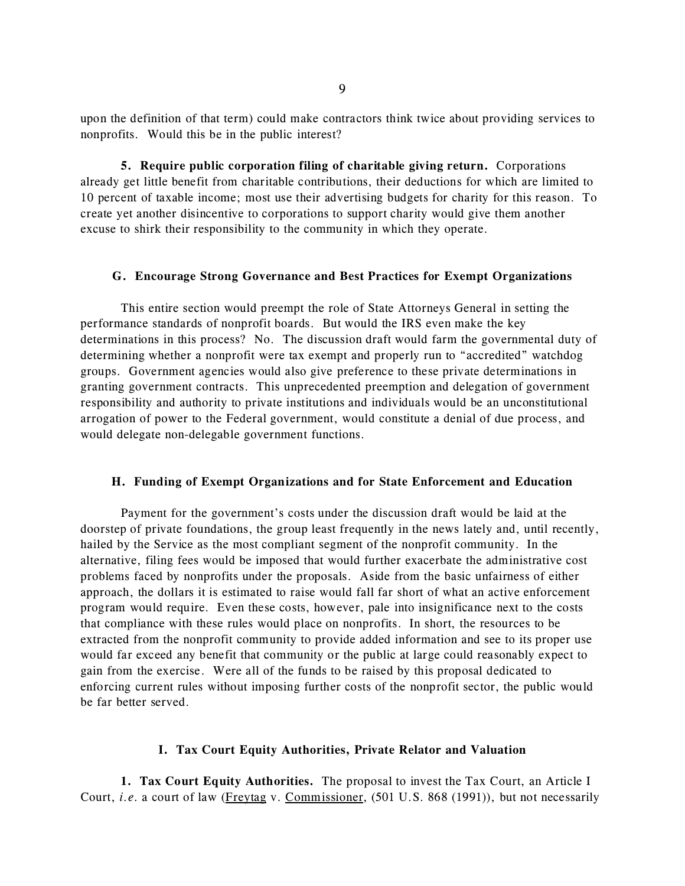upon the definition of that term) could make contractors think twice about providing services to nonprofits. Would this be in the public interest?

**5. Require public corporation filing of charitable giving return.** Corporations already get little benefit from charitable contributions, their deductions for which are limited to 10 percent of taxable income; most use their advertising budgets for charity for this reason. To create yet another disincentive to corporations to support charity would give them another excuse to shirk their responsibility to the community in which they operate.

## **G. Encourage Strong Governance and Best Practices for Exempt Organizations**

This entire section would preempt the role of State Attorneys General in setting the performance standards of nonprofit boards. But would the IRS even make the key determinations in this process? No. The discussion draft would farm the governmental duty of determining whether a nonprofit were tax exempt and properly run to "accredited" watchdog groups. Government agencies would also give preference to these private determinations in granting government contracts. This unprecedented preemption and delegation of government responsibility and authority to private institutions and individuals would be an unconstitutional arrogation of power to the Federal government, would constitute a denial of due process, and would delegate non-delegable government functions.

## **H. Funding of Exempt Organizations and for State Enforcement and Education**

Payment for the government's costs under the discussion draft would be laid at the doorstep of private foundations, the group least frequently in the news lately and, until recently, hailed by the Service as the most compliant segment of the nonprofit community. In the alternative, filing fees would be imposed that would further exacerbate the administrative cost problems faced by nonprofits under the proposals. Aside from the basic unfairness of either approach, the dollars it is estimated to raise would fall far short of what an active enforcement program would require. Even these costs, however, pale into insignificance next to the costs that compliance with these rules would place on nonprofits. In short, the resources to be extracted from the nonprofit community to provide added information and see to its proper use would far exceed any benefit that community or the public at large could reasonably expect to gain from the exercise. Were all of the funds to be raised by this proposal dedicated to enforcing current rules without imposing further costs of the nonprofit sector, the public would be far better served.

## **I. Tax Court Equity Authorities, Private Relator and Valuation**

**1. Tax Court Equity Authorities.** The proposal to invest the Tax Court, an Article I Court, *i.e.* a court of law (Freytag v. Commissioner, (501 U.S. 868 (1991)), but not necessarily